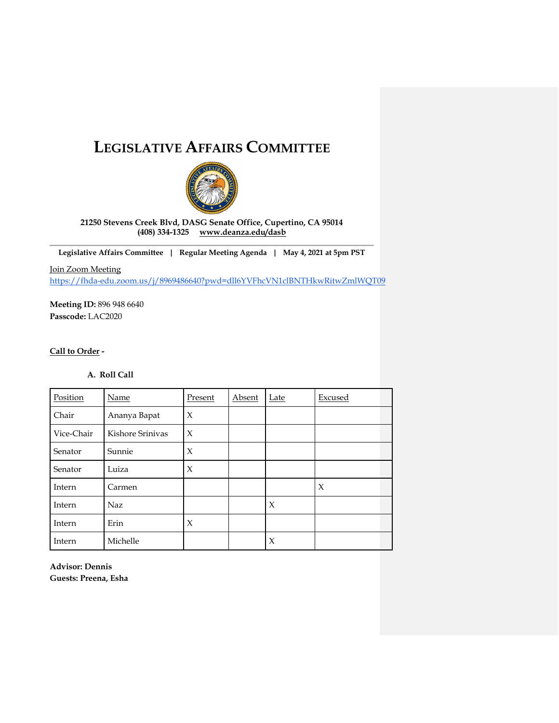# **LEGISLATIVE AFFAIRS COMMITTEE**



**21250 Stevens Creek Blvd, DASG Senate Office, Cupertino, CA 95014 (408) 334-1325 [www.deanza.edu/dasb](http://www.deanza.edu/dasb)**

**Legislative Affairs Committee | Regular Meeting Agenda | May 4, 2021 at 5pm PST**

Join Zoom Meeting <https://fhda-edu.zoom.us/j/8969486640?pwd=dll6YVFhcVN1clBNTHkwRitwZmlWQT09>

**Meeting ID:** 896 948 6640 **Passcode:** LAC2020

# **Call to Order -**

# **A. Roll Call**

| Position   | Name             | Present | Absent | Late | Excused |
|------------|------------------|---------|--------|------|---------|
| Chair      | Ananya Bapat     | X       |        |      |         |
| Vice-Chair | Kishore Sriniyas | X       |        |      |         |
| Senator    | Sunnie           | X       |        |      |         |
| Senator    | Luiza            | X       |        |      |         |
| Intern     | Carmen           |         |        |      | X       |
| Intern     | <b>Naz</b>       |         |        | X    |         |
| Intern     | Erin             | X       |        |      |         |
| Intern     | Michelle         |         |        | X    |         |

**Advisor: Dennis Guests: Preena, Esha**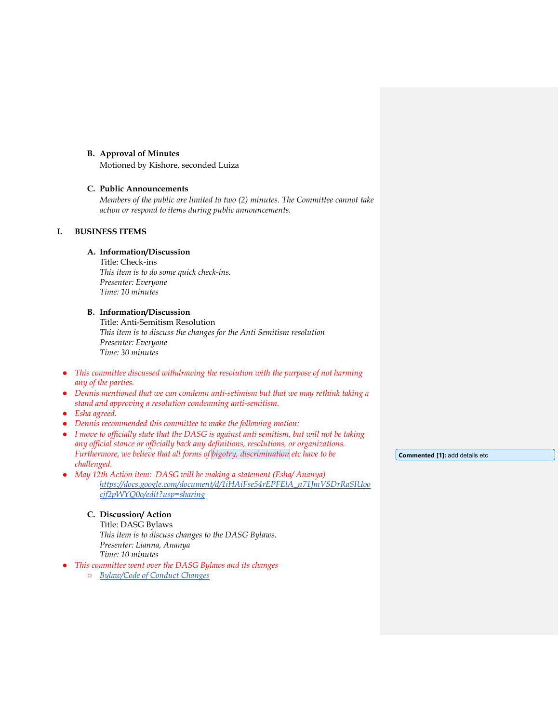#### **B. Approval of Minutes**

Motioned by Kishore, seconded Luiza

#### **C. Public Announcements**

*Members of the public are limited to two (2) minutes. The Committee cannot take action or respond to items during public announcements.* 

# **I. BUSINESS ITEMS**

# **A. Information/Discussion**

Title: Check-ins *This item is to do some quick check-ins. Presenter: Everyone Time: 10 minutes*

# **B. Information/Discussion**

Title: Anti-Semitism Resolution *This item is to discuss the changes for the Anti Semitism resolution Presenter: Everyone Time: 30 minutes*

- *This committee discussed withdrawing the resolution with the purpose of not harming any of the parties.*
- *Dennis mentioned that we can condemn anti-setimism but that we may rethink taking a stand and approving a resolution condemning anti-semitism.*
- *Esha agreed.*
- *Dennis recommended this committee to make the following motion:*
- *I move to officially state that the DASG is against anti semitism, but will not be taking any official stance or officially back any definitions, resolutions, or organizations. Furthermore, we believe that all forms of bigotry, discrimination etc have to be challenged.*

**Commented [1]:** add details etc

● *May 12th Action item: DASG will be making a statement (Esha/ Ananya) [https://docs.google.com/document/d/1iHAiFse54rEPFElA\\_n71JmVSDrRaSIUoo](https://docs.google.com/document/d/1iHAiFse54rEPFElA_n71JmVSDrRaSIUoocjf2pWYQ0o/edit?usp=sharing) [cjf2pWYQ0o/edit?usp=sharing](https://docs.google.com/document/d/1iHAiFse54rEPFElA_n71JmVSDrRaSIUoocjf2pWYQ0o/edit?usp=sharing)*

### **C. Discussion/ Action**

Title: DASG Bylaws *This item is to discuss changes to the DASG Bylaws. Presenter: Lianna, Ananya Time: 10 minutes* 

● *This committee went over the DASG Bylaws and its changes*

○ *[Bylaw/Code of Conduct Changes](https://docs.google.com/document/d/1t1s1x6-MV67vFJyYoR7TdcNltdhi9t3qpNK9sNwLObg/edit#heading=h.fxf3wztwc90d)*